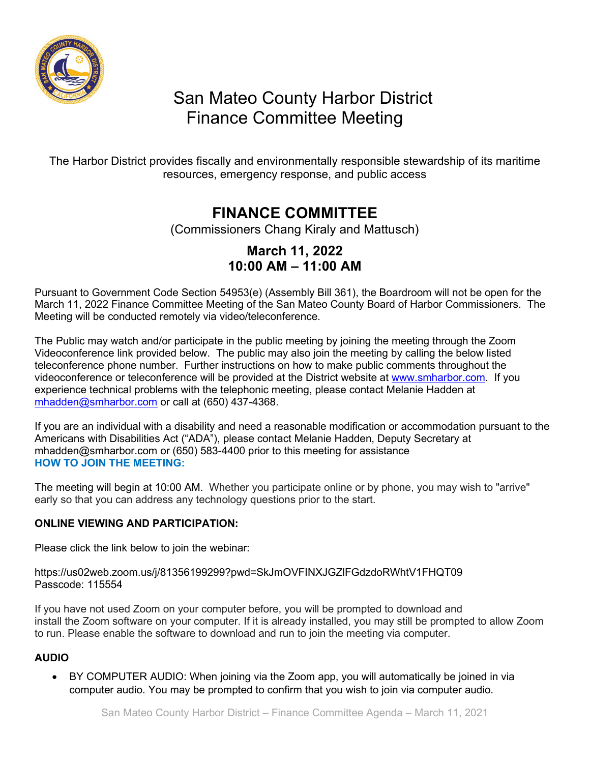

# San Mateo County Harbor District Finance Committee Meeting

The Harbor District provides fiscally and environmentally responsible stewardship of its maritime resources, emergency response, and public access

## **FINANCE COMMITTEE**

(Commissioners Chang Kiraly and Mattusch)

### **March 11, 2022 10:00 AM – 11:00 AM**

Pursuant to Government Code Section 54953(e) (Assembly Bill 361), the Boardroom will not be open for the March 11, 2022 Finance Committee Meeting of the San Mateo County Board of Harbor Commissioners. The Meeting will be conducted remotely via video/teleconference.

The Public may watch and/or participate in the public meeting by joining the meeting through the Zoom Videoconference link provided below. The public may also join the meeting by calling the below listed teleconference phone number. Further instructions on how to make public comments throughout the videoconference or teleconference will be provided at the District website at [www.smharbor.com.](http://www.smharbor.com/) If you experience technical problems with the telephonic meeting, please contact Melanie Hadden at [mhadden@smharbor.com](mailto:mhadden@smharbor.com) or call at (650) 437-4368.

If you are an individual with a disability and need a reasonable modification or accommodation pursuant to the Americans with Disabilities Act ("ADA"), please contact Melanie Hadden, Deputy Secretary at mhadden@smharbor.com or (650) 583-4400 prior to this meeting for assistance **HOW TO JOIN THE MEETING:**

The meeting will begin at 10:00 AM. Whether you participate online or by phone, you may wish to "arrive" early so that you can address any technology questions prior to the start.

#### **ONLINE VIEWING AND PARTICIPATION:**

Please click the link below to join the webinar:

https://us02web.zoom.us/j/81356199299?pwd=SkJmOVFINXJGZlFGdzdoRWhtV1FHQT09 Passcode: 115554

If you have not used Zoom on your computer before, you will be prompted to download and install the Zoom software on your computer. If it is already installed, you may still be prompted to allow Zoom to run. Please enable the software to download and run to join the meeting via computer.

#### **AUDIO**

• BY COMPUTER AUDIO: When joining via the Zoom app, you will automatically be joined in via computer audio. You may be prompted to confirm that you wish to join via computer audio.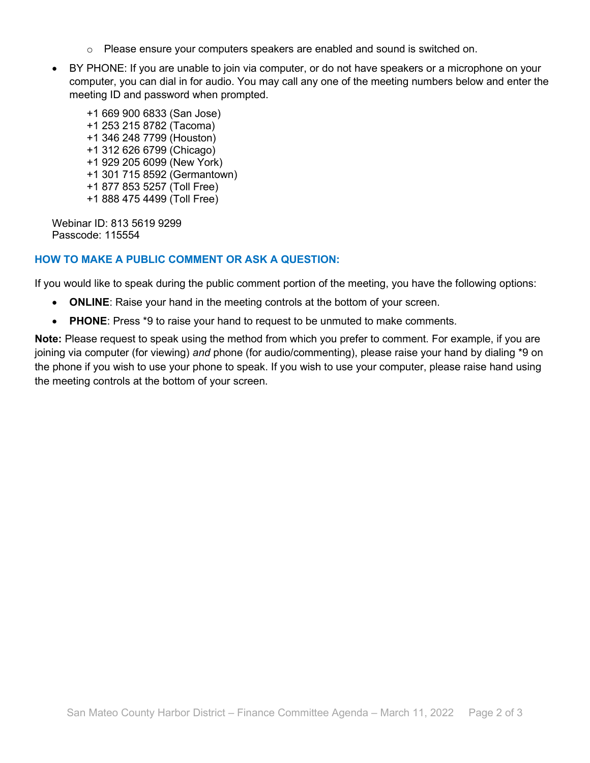- $\circ$  Please ensure your computers speakers are enabled and sound is switched on.
- BY PHONE: If you are unable to join via computer, or do not have speakers or a microphone on your computer, you can dial in for audio. You may call any one of the meeting numbers below and enter the meeting ID and password when prompted.
	- +1 669 900 6833 (San Jose) +1 253 215 8782 (Tacoma) +1 346 248 7799 (Houston) +1 312 626 6799 (Chicago) +1 929 205 6099 (New York) +1 301 715 8592 (Germantown) +1 877 853 5257 (Toll Free) +1 888 475 4499 (Toll Free)

Webinar ID: 813 5619 9299 Passcode: 115554

#### **HOW TO MAKE A PUBLIC COMMENT OR ASK A QUESTION:**

If you would like to speak during the public comment portion of the meeting, you have the following options:

- **ONLINE**: Raise your hand in the meeting controls at the bottom of your screen.
- **PHONE**: Press \*9 to raise your hand to request to be unmuted to make comments.

**Note:** Please request to speak using the method from which you prefer to comment. For example, if you are joining via computer (for viewing) *and* phone (for audio/commenting), please raise your hand by dialing \*9 on the phone if you wish to use your phone to speak. If you wish to use your computer, please raise hand using the meeting controls at the bottom of your screen.